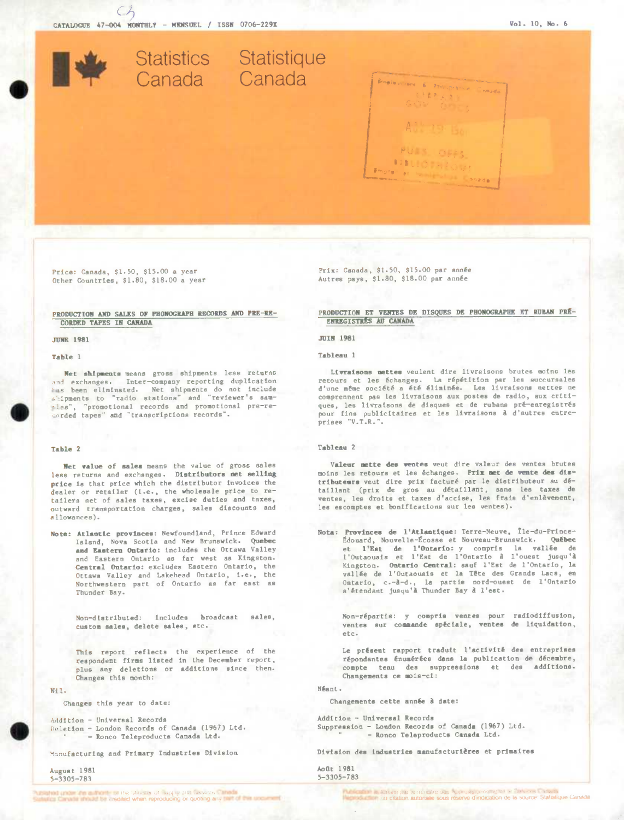Statistics Statistique Canada Canada Bineleviners & 2m orders 主要あるき 818

Price: Canada, \$1.50, \$15.00 a year Other Countries, \$1.80, \$18.00 a year

## PRODUCTION AND SALES OF PHONOGRAPH RECORDS AND PRE-RE-**CORDED TAPES IN CANADA**

#### **JUNE 1981**

# Table 1

Net shipments means gross shipments less returns and exchanges. Inter-company reporting duplication sales been eliminated. Net shipments do not include<br>shipments to "radio stations" and "reviewer's samples", "promotional records and promotional pre-recorded tapes" and "transcriptions records".

### Table 2

Net value of sales means the value of gross sales less returns and exchanges. Distributors met selling price is that price which the distributor invoices the dealer or retailer (i.e., the wholesale price to retailers net of sales taxes, excise duties and taxes, outward transportation charges, sales discounts and allowances).

Note: Atlantic provinces: Newfoundland, Prince Edward Island, Nova Scotia and New Brunswick. Quebec and Eastern Ontario: includes the Ottawa Valley and Eastern Ontario as far west as Kingston. Central Ontario: excludes Eastern Ontario, the Ottawa Valley and Lakehead Ontario, i.e., the Northwestern part of Ontario as far east as Thunder Bay.

> Non-distributed: includes broadcast sales, custom sales, delete sales, etc.

> This report reflects the experience of the respondent firms listed in the December report, plus any deletions or additions since then. Changes this month:

 $N+1$ .

Changes this year to date:

Addition - Universal Records Deletion - London Records of Canada (1967) Ltd. - Ronco Teleproducts Canada Ltd.

Manufacturing and Primary Industries Division

August 1981  $5 - 3305 - 783$ 

Prix: Canada, \$1.50, \$15.00 par année Autres pays, \$1.80, \$18.00 par année

PRODUCTION ET VENTES DE DISQUES DE PHONOGRAPHE ET RUBAN PRÉ-ENREGISTRES AU CANADA

## TITH 1981

### Tableau 1

Livraisons nettes veulent dire livraisons brutes moins les retours et les échanges. La répétition par les succursales<br>d'une même société a été éliminée. Les livraisons nettes ne comprennent pas les livraisons aux postes de radio, aux critiques, les livraisons de disques et de rubans pré-enregistrés pour fins publicitaires et les livraisons à d'autres entreprises "V.T.R.".

# Tehleen 2

Valeur nette des ventes veut dire valeur des ventes brutes moins les retours et les échanges. Prix met de vente des distributeurs veut dire prix facturé par le distributeur au détaillant (prix de gros au détaillant, sans les taxes de ventes. les droits et taxes d'accise, les frais d'enlèvement, les escomptes et bonifications sur les ventes).

Nota: Provinces de l'Atlantique: Terre-Neuve, Ile-du-Prince-Édouard, Nouvelle-Écosse et Nouveau-Brunswick. Québec et l'Est de l'Ontario: y compris la vallée de<br>l'Outaouais et l'Est de l'Ontario à l'ouest jusqu'à Kingston. Ontario Central: sauf l'Est de l'Ontario, la vallée de l'Outaouais et la Tête des Grands Lacs, en Ontario, c.-à-d., la partie nord-ouest de l'Ontario<br>s'étendant jusqu'à Thunder Bay à l'est.

Non-répartis: y compris ventes pour radiodiffusion, ventes sur commande spéciale, ventes de liquidation. etc.

Le présent rapport traduit l'activité des entreprises répondantes énumérées dans la publication de décembre, compte tenu des suppressions et des additions. Changements ce mois-ci:

Néant.

Changements cette année à date:

Addition - Universal Records Suppression - London Records of Canada (1967) Ltd. - Ronco Teleproducts Canada Ltd.

Division des industries manufacturières et primaires

Août 1981  $5 - 3305 - 783$ 

.<br>Publicadas instituídes par le manistre des Approvisiones l'anté et servers il stadio.<br>National chief più critation autonisée isous réserve d'indication de la source. Statistique Canada